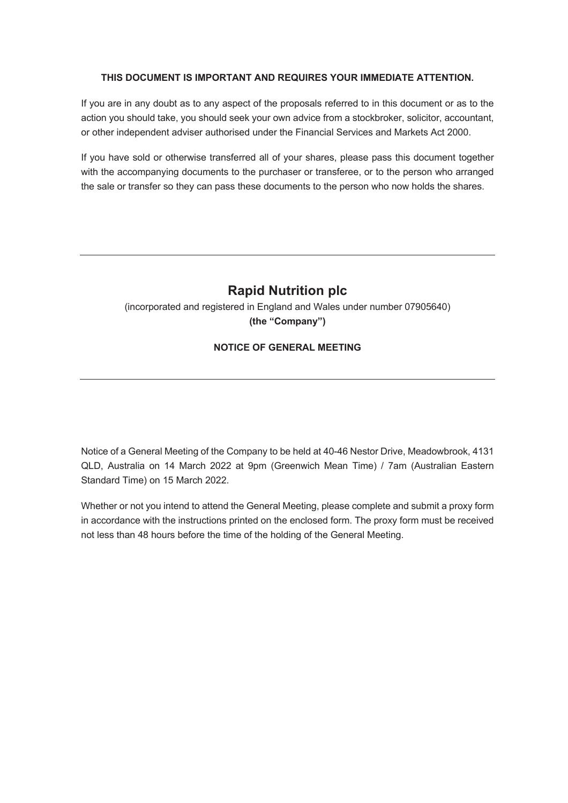## **THIS DOCUMENT IS IMPORTANT AND REQUIRES YOUR IMMEDIATE ATTENTION.**

If you are in any doubt as to any aspect of the proposals referred to in this document or as to the action you should take, you should seek your own advice from a stockbroker, solicitor, accountant, or other independent adviser authorised under the Financial Services and Markets Act 2000.

If you have sold or otherwise transferred all of your shares, please pass this document together with the accompanying documents to the purchaser or transferee, or to the person who arranged the sale or transfer so they can pass these documents to the person who now holds the shares.

# **Rapid Nutrition plc**

(incorporated and registered in England and Wales under number 07905640) **(the "Company")**

## **NOTICE OF GENERAL MEETING**

Notice of a General Meeting of the Company to be held at 40-46 Nestor Drive, Meadowbrook, 4131 QLD, Australia on 14 March 2022 at 9pm (Greenwich Mean Time) / 7am (Australian Eastern Standard Time) on 15 March 2022.

Whether or not you intend to attend the General Meeting, please complete and submit a proxy form in accordance with the instructions printed on the enclosed form. The proxy form must be received not less than 48 hours before the time of the holding of the General Meeting.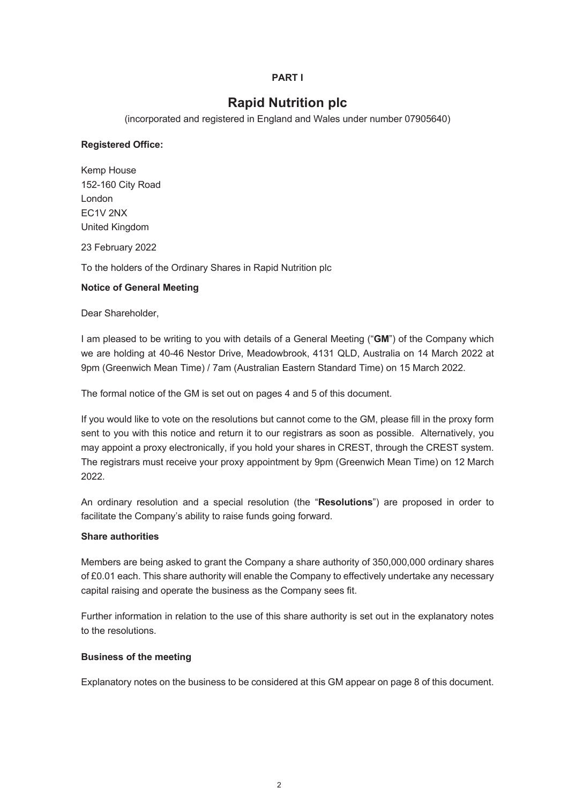## **PART I**

# **Rapid Nutrition plc**

(incorporated and registered in England and Wales under number 07905640)

## **Registered Office:**

Kemp House 152-160 City Road London EC1V 2NX United Kingdom 23 February 2022

To the holders of the Ordinary Shares in Rapid Nutrition plc

## **Notice of General Meeting**

Dear Shareholder,

I am pleased to be writing to you with details of a General Meeting ("**GM**") of the Company which we are holding at 40-46 Nestor Drive, Meadowbrook, 4131 QLD, Australia on 14 March 2022 at 9pm (Greenwich Mean Time) / 7am (Australian Eastern Standard Time) on 15 March 2022.

The formal notice of the GM is set out on pages 4 and 5 of this document.

If you would like to vote on the resolutions but cannot come to the GM, please fill in the proxy form sent to you with this notice and return it to our registrars as soon as possible. Alternatively, you may appoint a proxy electronically, if you hold your shares in CREST, through the CREST system. The registrars must receive your proxy appointment by 9pm (Greenwich Mean Time) on 12 March 2022.

An ordinary resolution and a special resolution (the "**Resolutions**") are proposed in order to facilitate the Company's ability to raise funds going forward.

#### **Share authorities**

Members are being asked to grant the Company a share authority of 350,000,000 ordinary shares of £0.01 each. This share authority will enable the Company to effectively undertake any necessary capital raising and operate the business as the Company sees fit.

Further information in relation to the use of this share authority is set out in the explanatory notes to the resolutions.

#### **Business of the meeting**

Explanatory notes on the business to be considered at this GM appear on page 8 of this document.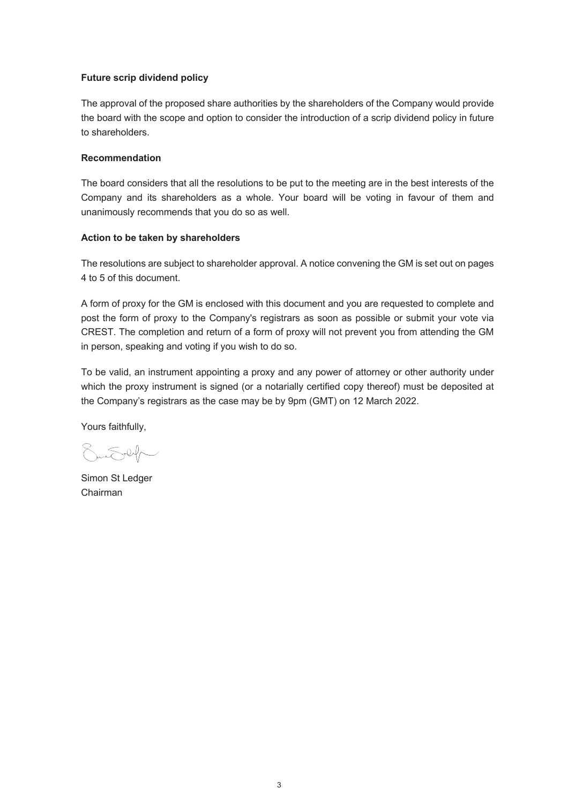## **Future scrip dividend policy**

The approval of the proposed share authorities by the shareholders of the Company would provide the board with the scope and option to consider the introduction of a scrip dividend policy in future to shareholders.

## **Recommendation**

The board considers that all the resolutions to be put to the meeting are in the best interests of the Company and its shareholders as a whole. Your board will be voting in favour of them and unanimously recommends that you do so as well.

#### **Action to be taken by shareholders**

The resolutions are subject to shareholder approval. A notice convening the GM is set out on pages 4 to 5 of this document.

A form of proxy for the GM is enclosed with this document and you are requested to complete and post the form of proxy to the Company's registrars as soon as possible or submit your vote via CREST. The completion and return of a form of proxy will not prevent you from attending the GM in person, speaking and voting if you wish to do so.

To be valid, an instrument appointing a proxy and any power of attorney or other authority under which the proxy instrument is signed (or a notarially certified copy thereof) must be deposited at the Company's registrars as the case may be by 9pm (GMT) on 12 March 2022.

Yours faithfully,

 $5 - 24$ 

Simon St Ledger Chairman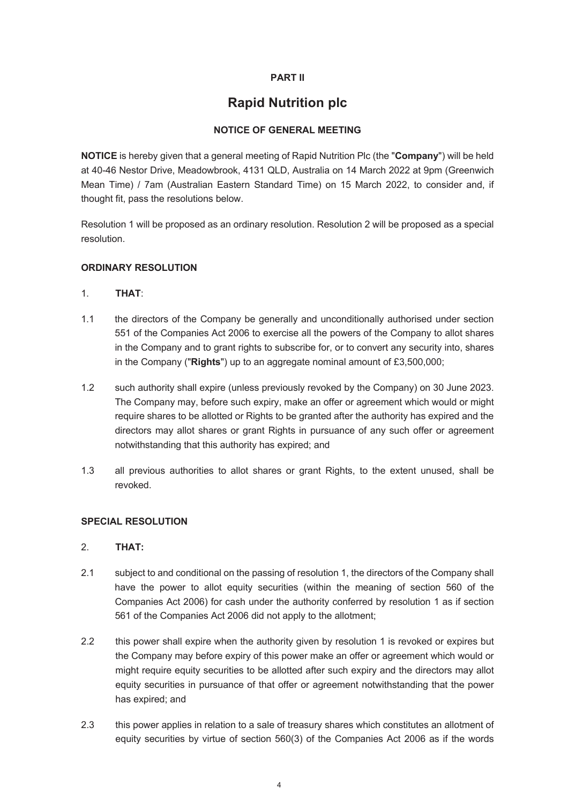## **PART II**

# **Rapid Nutrition plc**

## **NOTICE OF GENERAL MEETING**

**NOTICE** is hereby given that a general meeting of Rapid Nutrition Plc (the "**Company**") will be held at 40-46 Nestor Drive, Meadowbrook, 4131 QLD, Australia on 14 March 2022 at 9pm (Greenwich Mean Time) / 7am (Australian Eastern Standard Time) on 15 March 2022, to consider and, if thought fit, pass the resolutions below.

Resolution 1 will be proposed as an ordinary resolution. Resolution 2 will be proposed as a special resolution.

## **ORDINARY RESOLUTION**

## 1. **THAT**:

- 1.1 the directors of the Company be generally and unconditionally authorised under section 551 of the Companies Act 2006 to exercise all the powers of the Company to allot shares in the Company and to grant rights to subscribe for, or to convert any security into, shares in the Company ("**Rights**") up to an aggregate nominal amount of £3,500,000;
- 1.2 such authority shall expire (unless previously revoked by the Company) on 30 June 2023. The Company may, before such expiry, make an offer or agreement which would or might require shares to be allotted or Rights to be granted after the authority has expired and the directors may allot shares or grant Rights in pursuance of any such offer or agreement notwithstanding that this authority has expired; and
- 1.3 all previous authorities to allot shares or grant Rights, to the extent unused, shall be revoked.

## **SPECIAL RESOLUTION**

## 2. **THAT:**

- 2.1 subject to and conditional on the passing of resolution 1, the directors of the Company shall have the power to allot equity securities (within the meaning of section 560 of the Companies Act 2006) for cash under the authority conferred by resolution 1 as if section 561 of the Companies Act 2006 did not apply to the allotment;
- 2.2 this power shall expire when the authority given by resolution 1 is revoked or expires but the Company may before expiry of this power make an offer or agreement which would or might require equity securities to be allotted after such expiry and the directors may allot equity securities in pursuance of that offer or agreement notwithstanding that the power has expired; and
- 2.3 this power applies in relation to a sale of treasury shares which constitutes an allotment of equity securities by virtue of section 560(3) of the Companies Act 2006 as if the words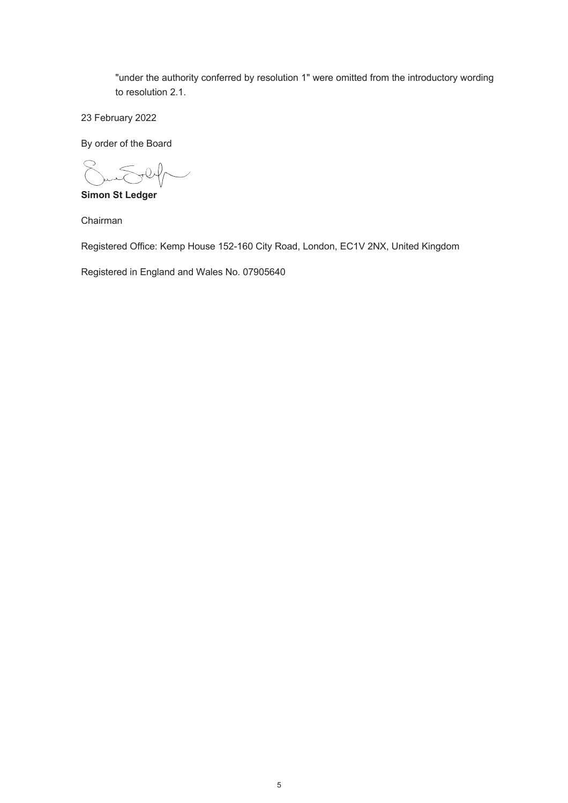"under the authority conferred by resolution 1" were omitted from the introductory wording to resolution 2.1.

23 February 2022

By order of the Board

 $0\sqrt{l}$ 

**Simon St Ledger**

Chairman

Registered Office: Kemp House 152-160 City Road, London, EC1V 2NX, United Kingdom

Registered in England and Wales No. 07905640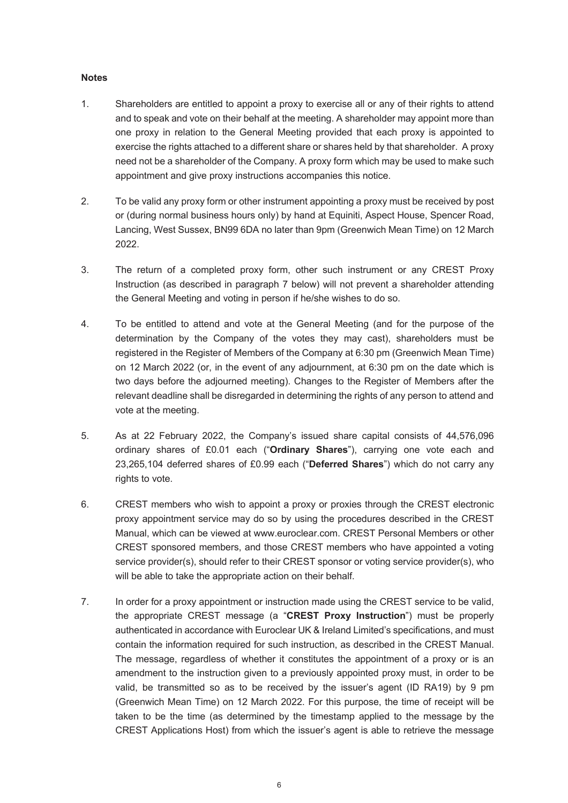## **Notes**

- 1. Shareholders are entitled to appoint a proxy to exercise all or any of their rights to attend and to speak and vote on their behalf at the meeting. A shareholder may appoint more than one proxy in relation to the General Meeting provided that each proxy is appointed to exercise the rights attached to a different share or shares held by that shareholder. A proxy need not be a shareholder of the Company. A proxy form which may be used to make such appointment and give proxy instructions accompanies this notice.
- 2. To be valid any proxy form or other instrument appointing a proxy must be received by post or (during normal business hours only) by hand at Equiniti, Aspect House, Spencer Road, Lancing, West Sussex, BN99 6DA no later than 9pm (Greenwich Mean Time) on 12 March 2022.
- 3. The return of a completed proxy form, other such instrument or any CREST Proxy Instruction (as described in paragraph 7 below) will not prevent a shareholder attending the General Meeting and voting in person if he/she wishes to do so.
- 4. To be entitled to attend and vote at the General Meeting (and for the purpose of the determination by the Company of the votes they may cast), shareholders must be registered in the Register of Members of the Company at 6:30 pm (Greenwich Mean Time) on 12 March 2022 (or, in the event of any adjournment, at 6:30 pm on the date which is two days before the adjourned meeting). Changes to the Register of Members after the relevant deadline shall be disregarded in determining the rights of any person to attend and vote at the meeting.
- 5. As at 22 February 2022, the Company's issued share capital consists of 44,576,096 ordinary shares of £0.01 each ("**Ordinary Shares**"), carrying one vote each and 23,265,104 deferred shares of £0.99 each ("**Deferred Shares**") which do not carry any rights to vote.
- 6. CREST members who wish to appoint a proxy or proxies through the CREST electronic proxy appointment service may do so by using the procedures described in the CREST Manual, which can be viewed at www.euroclear.com. CREST Personal Members or other CREST sponsored members, and those CREST members who have appointed a voting service provider(s), should refer to their CREST sponsor or voting service provider(s), who will be able to take the appropriate action on their behalf.
- 7. In order for a proxy appointment or instruction made using the CREST service to be valid, the appropriate CREST message (a "**CREST Proxy Instruction**") must be properly authenticated in accordance with Euroclear UK & Ireland Limited's specifications, and must contain the information required for such instruction, as described in the CREST Manual. The message, regardless of whether it constitutes the appointment of a proxy or is an amendment to the instruction given to a previously appointed proxy must, in order to be valid, be transmitted so as to be received by the issuer's agent (ID RA19) by 9 pm (Greenwich Mean Time) on 12 March 2022. For this purpose, the time of receipt will be taken to be the time (as determined by the timestamp applied to the message by the CREST Applications Host) from which the issuer's agent is able to retrieve the message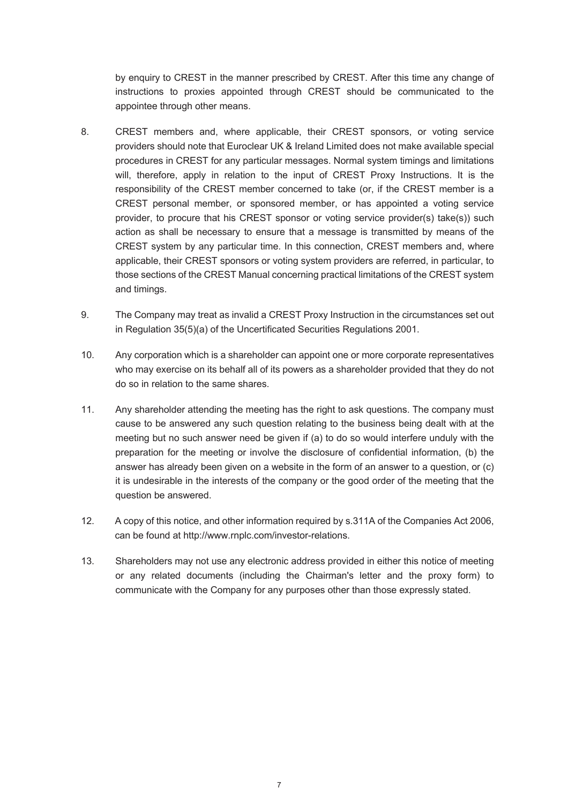by enquiry to CREST in the manner prescribed by CREST. After this time any change of instructions to proxies appointed through CREST should be communicated to the appointee through other means.

- 8. CREST members and, where applicable, their CREST sponsors, or voting service providers should note that Euroclear UK & Ireland Limited does not make available special procedures in CREST for any particular messages. Normal system timings and limitations will, therefore, apply in relation to the input of CREST Proxy Instructions. It is the responsibility of the CREST member concerned to take (or, if the CREST member is a CREST personal member, or sponsored member, or has appointed a voting service provider, to procure that his CREST sponsor or voting service provider(s) take(s)) such action as shall be necessary to ensure that a message is transmitted by means of the CREST system by any particular time. In this connection, CREST members and, where applicable, their CREST sponsors or voting system providers are referred, in particular, to those sections of the CREST Manual concerning practical limitations of the CREST system and timings.
- 9. The Company may treat as invalid a CREST Proxy Instruction in the circumstances set out in Regulation 35(5)(a) of the Uncertificated Securities Regulations 2001.
- 10. Any corporation which is a shareholder can appoint one or more corporate representatives who may exercise on its behalf all of its powers as a shareholder provided that they do not do so in relation to the same shares.
- 11. Any shareholder attending the meeting has the right to ask questions. The company must cause to be answered any such question relating to the business being dealt with at the meeting but no such answer need be given if (a) to do so would interfere unduly with the preparation for the meeting or involve the disclosure of confidential information, (b) the answer has already been given on a website in the form of an answer to a question, or (c) it is undesirable in the interests of the company or the good order of the meeting that the question be answered.
- 12. A copy of this notice, and other information required by s.311A of the Companies Act 2006, can be found at http://www.rnplc.com/investor-relations.
- 13. Shareholders may not use any electronic address provided in either this notice of meeting or any related documents (including the Chairman's letter and the proxy form) to communicate with the Company for any purposes other than those expressly stated.